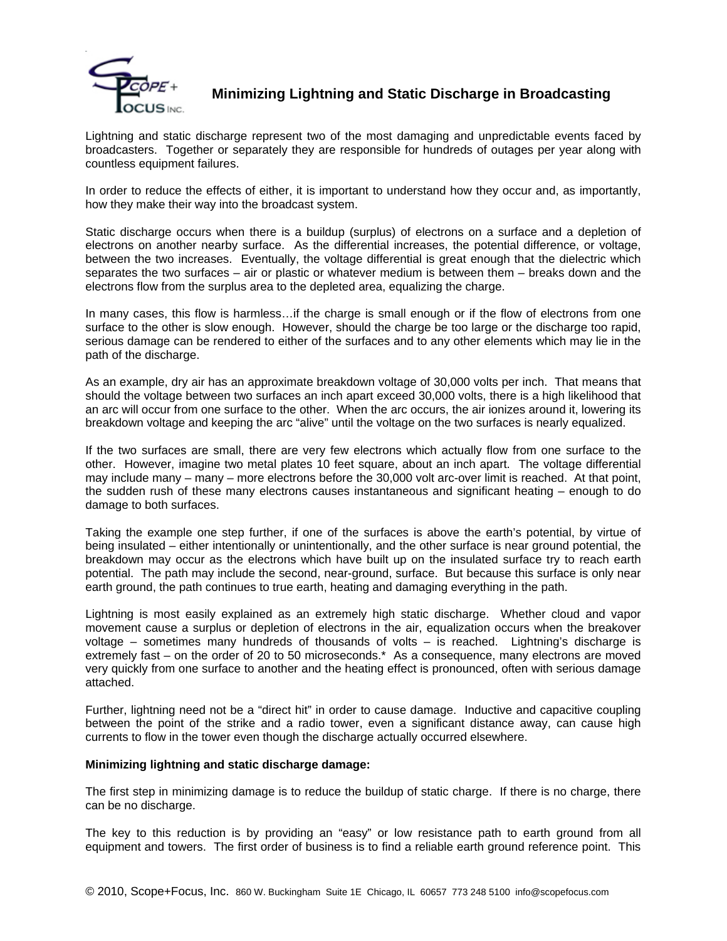

## **Minimizing Lightning and Static Discharge in Broadcasting**

Lightning and static discharge represent two of the most damaging and unpredictable events faced by broadcasters. Together or separately they are responsible for hundreds of outages per year along with countless equipment failures.

In order to reduce the effects of either, it is important to understand how they occur and, as importantly, how they make their way into the broadcast system.

Static discharge occurs when there is a buildup (surplus) of electrons on a surface and a depletion of electrons on another nearby surface. As the differential increases, the potential difference, or voltage, between the two increases. Eventually, the voltage differential is great enough that the dielectric which separates the two surfaces – air or plastic or whatever medium is between them – breaks down and the electrons flow from the surplus area to the depleted area, equalizing the charge.

In many cases, this flow is harmless...if the charge is small enough or if the flow of electrons from one surface to the other is slow enough. However, should the charge be too large or the discharge too rapid, serious damage can be rendered to either of the surfaces and to any other elements which may lie in the path of the discharge.

As an example, dry air has an approximate breakdown voltage of 30,000 volts per inch. That means that should the voltage between two surfaces an inch apart exceed 30,000 volts, there is a high likelihood that an arc will occur from one surface to the other. When the arc occurs, the air ionizes around it, lowering its breakdown voltage and keeping the arc "alive" until the voltage on the two surfaces is nearly equalized.

If the two surfaces are small, there are very few electrons which actually flow from one surface to the other. However, imagine two metal plates 10 feet square, about an inch apart. The voltage differential may include many – many – more electrons before the 30,000 volt arc-over limit is reached. At that point, the sudden rush of these many electrons causes instantaneous and significant heating – enough to do damage to both surfaces.

Taking the example one step further, if one of the surfaces is above the earth's potential, by virtue of being insulated – either intentionally or unintentionally, and the other surface is near ground potential, the breakdown may occur as the electrons which have built up on the insulated surface try to reach earth potential. The path may include the second, near-ground, surface. But because this surface is only near earth ground, the path continues to true earth, heating and damaging everything in the path.

Lightning is most easily explained as an extremely high static discharge. Whether cloud and vapor movement cause a surplus or depletion of electrons in the air, equalization occurs when the breakover voltage – sometimes many hundreds of thousands of volts – is reached. Lightning's discharge is extremely fast – on the order of 20 to 50 microseconds.\* As a consequence, many electrons are moved very quickly from one surface to another and the heating effect is pronounced, often with serious damage attached.

Further, lightning need not be a "direct hit" in order to cause damage. Inductive and capacitive coupling between the point of the strike and a radio tower, even a significant distance away, can cause high currents to flow in the tower even though the discharge actually occurred elsewhere.

#### **Minimizing lightning and static discharge damage:**

The first step in minimizing damage is to reduce the buildup of static charge. If there is no charge, there can be no discharge.

The key to this reduction is by providing an "easy" or low resistance path to earth ground from all equipment and towers. The first order of business is to find a reliable earth ground reference point. This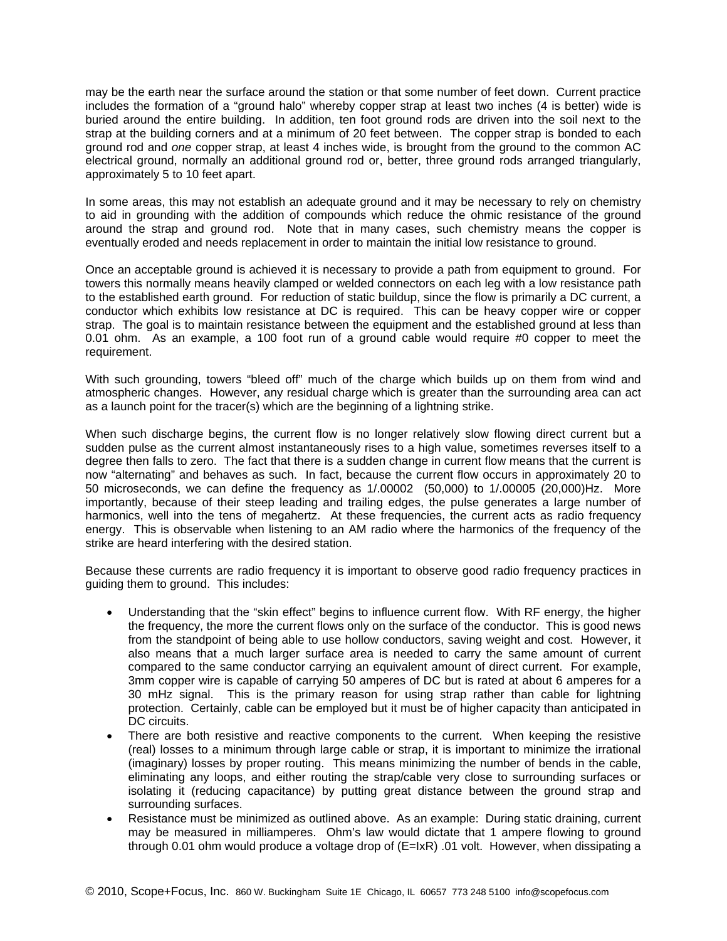may be the earth near the surface around the station or that some number of feet down. Current practice includes the formation of a "ground halo" whereby copper strap at least two inches (4 is better) wide is buried around the entire building. In addition, ten foot ground rods are driven into the soil next to the strap at the building corners and at a minimum of 20 feet between. The copper strap is bonded to each ground rod and *one* copper strap, at least 4 inches wide, is brought from the ground to the common AC electrical ground, normally an additional ground rod or, better, three ground rods arranged triangularly, approximately 5 to 10 feet apart.

In some areas, this may not establish an adequate ground and it may be necessary to rely on chemistry to aid in grounding with the addition of compounds which reduce the ohmic resistance of the ground around the strap and ground rod. Note that in many cases, such chemistry means the copper is eventually eroded and needs replacement in order to maintain the initial low resistance to ground.

Once an acceptable ground is achieved it is necessary to provide a path from equipment to ground. For towers this normally means heavily clamped or welded connectors on each leg with a low resistance path to the established earth ground. For reduction of static buildup, since the flow is primarily a DC current, a conductor which exhibits low resistance at DC is required. This can be heavy copper wire or copper strap. The goal is to maintain resistance between the equipment and the established ground at less than 0.01 ohm. As an example, a 100 foot run of a ground cable would require #0 copper to meet the requirement.

With such grounding, towers "bleed off" much of the charge which builds up on them from wind and atmospheric changes. However, any residual charge which is greater than the surrounding area can act as a launch point for the tracer(s) which are the beginning of a lightning strike.

When such discharge begins, the current flow is no longer relatively slow flowing direct current but a sudden pulse as the current almost instantaneously rises to a high value, sometimes reverses itself to a degree then falls to zero. The fact that there is a sudden change in current flow means that the current is now "alternating" and behaves as such. In fact, because the current flow occurs in approximately 20 to 50 microseconds, we can define the frequency as 1/.00002 (50,000) to 1/.00005 (20,000)Hz. More importantly, because of their steep leading and trailing edges, the pulse generates a large number of harmonics, well into the tens of megahertz. At these frequencies, the current acts as radio frequency energy. This is observable when listening to an AM radio where the harmonics of the frequency of the strike are heard interfering with the desired station.

Because these currents are radio frequency it is important to observe good radio frequency practices in guiding them to ground. This includes:

- Understanding that the "skin effect" begins to influence current flow. With RF energy, the higher the frequency, the more the current flows only on the surface of the conductor. This is good news from the standpoint of being able to use hollow conductors, saving weight and cost. However, it also means that a much larger surface area is needed to carry the same amount of current compared to the same conductor carrying an equivalent amount of direct current. For example, 3mm copper wire is capable of carrying 50 amperes of DC but is rated at about 6 amperes for a 30 mHz signal. This is the primary reason for using strap rather than cable for lightning protection. Certainly, cable can be employed but it must be of higher capacity than anticipated in DC circuits.
- There are both resistive and reactive components to the current. When keeping the resistive (real) losses to a minimum through large cable or strap, it is important to minimize the irrational (imaginary) losses by proper routing. This means minimizing the number of bends in the cable, eliminating any loops, and either routing the strap/cable very close to surrounding surfaces or isolating it (reducing capacitance) by putting great distance between the ground strap and surrounding surfaces.
- Resistance must be minimized as outlined above. As an example: During static draining, current may be measured in milliamperes. Ohm's law would dictate that 1 ampere flowing to ground through 0.01 ohm would produce a voltage drop of (E=IxR) .01 volt. However, when dissipating a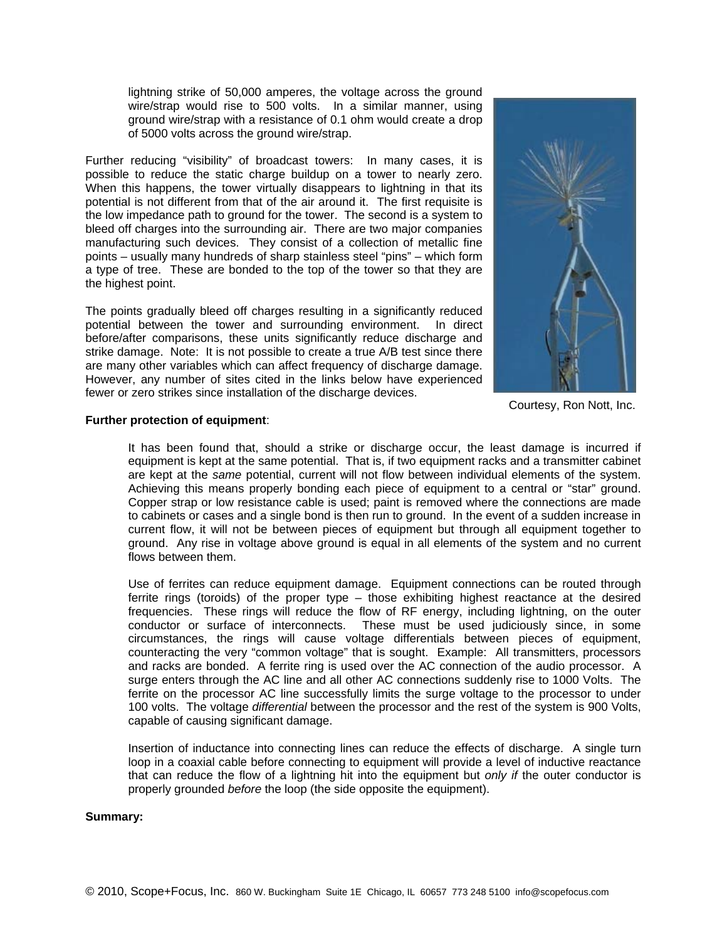lightning strike of 50,000 amperes, the voltage across the ground wire/strap would rise to 500 volts. In a similar manner, using ground wire/strap with a resistance of 0.1 ohm would create a drop of 5000 volts across the ground wire/strap.

Further reducing "visibility" of broadcast towers: In many cases, it is possible to reduce the static charge buildup on a tower to nearly zero. When this happens, the tower virtually disappears to lightning in that its potential is not different from that of the air around it. The first requisite is the low impedance path to ground for the tower. The second is a system to bleed off charges into the surrounding air. There are two major companies manufacturing such devices. They consist of a collection of metallic fine points – usually many hundreds of sharp stainless steel "pins" – which form a type of tree. These are bonded to the top of the tower so that they are the highest point.

The points gradually bleed off charges resulting in a significantly reduced potential between the tower and surrounding environment. In direct before/after comparisons, these units significantly reduce discharge and strike damage. Note: It is not possible to create a true A/B test since there are many other variables which can affect frequency of discharge damage. However, any number of sites cited in the links below have experienced fewer or zero strikes since installation of the discharge devices.



Courtesy, Ron Nott, Inc.

#### **Further protection of equipment**:

It has been found that, should a strike or discharge occur, the least damage is incurred if equipment is kept at the same potential. That is, if two equipment racks and a transmitter cabinet are kept at the *same* potential, current will not flow between individual elements of the system. Achieving this means properly bonding each piece of equipment to a central or "star" ground. Copper strap or low resistance cable is used; paint is removed where the connections are made to cabinets or cases and a single bond is then run to ground. In the event of a sudden increase in current flow, it will not be between pieces of equipment but through all equipment together to ground. Any rise in voltage above ground is equal in all elements of the system and no current flows between them.

Use of ferrites can reduce equipment damage. Equipment connections can be routed through ferrite rings (toroids) of the proper type – those exhibiting highest reactance at the desired frequencies. These rings will reduce the flow of RF energy, including lightning, on the outer conductor or surface of interconnects. These must be used judiciously since, in some circumstances, the rings will cause voltage differentials between pieces of equipment, counteracting the very "common voltage" that is sought. Example: All transmitters, processors and racks are bonded. A ferrite ring is used over the AC connection of the audio processor. A surge enters through the AC line and all other AC connections suddenly rise to 1000 Volts. The ferrite on the processor AC line successfully limits the surge voltage to the processor to under 100 volts. The voltage *differential* between the processor and the rest of the system is 900 Volts, capable of causing significant damage.

Insertion of inductance into connecting lines can reduce the effects of discharge. A single turn loop in a coaxial cable before connecting to equipment will provide a level of inductive reactance that can reduce the flow of a lightning hit into the equipment but *only if* the outer conductor is properly grounded *before* the loop (the side opposite the equipment).

#### **Summary:**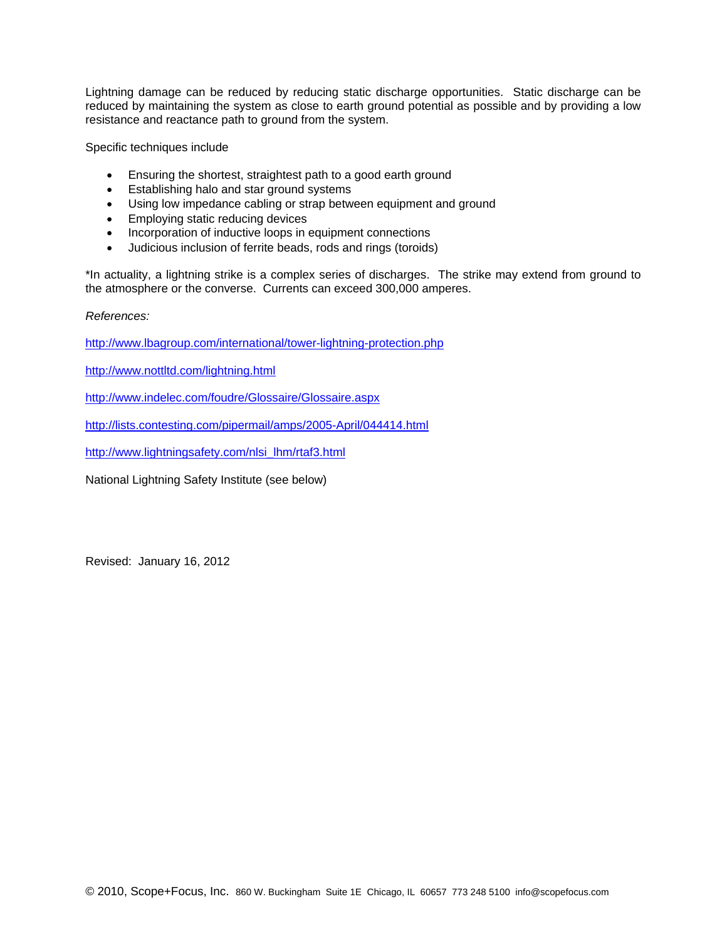Lightning damage can be reduced by reducing static discharge opportunities. Static discharge can be reduced by maintaining the system as close to earth ground potential as possible and by providing a low resistance and reactance path to ground from the system.

Specific techniques include

- Ensuring the shortest, straightest path to a good earth ground
- **Establishing halo and star ground systems**
- Using low impedance cabling or strap between equipment and ground
- **Employing static reducing devices**
- Incorporation of inductive loops in equipment connections
- Judicious inclusion of ferrite beads, rods and rings (toroids)

\*In actuality, a lightning strike is a complex series of discharges. The strike may extend from ground to the atmosphere or the converse. Currents can exceed 300,000 amperes.

#### *References:*

http://www.lbagroup.com/international/tower-lightning-protection.php

http://www.nottltd.com/lightning.html

http://www.indelec.com/foudre/Glossaire/Glossaire.aspx

http://lists.contesting.com/pipermail/amps/2005-April/044414.html

http://www.lightningsafety.com/nlsi\_lhm/rtaf3.html

National Lightning Safety Institute (see below)

Revised: January 16, 2012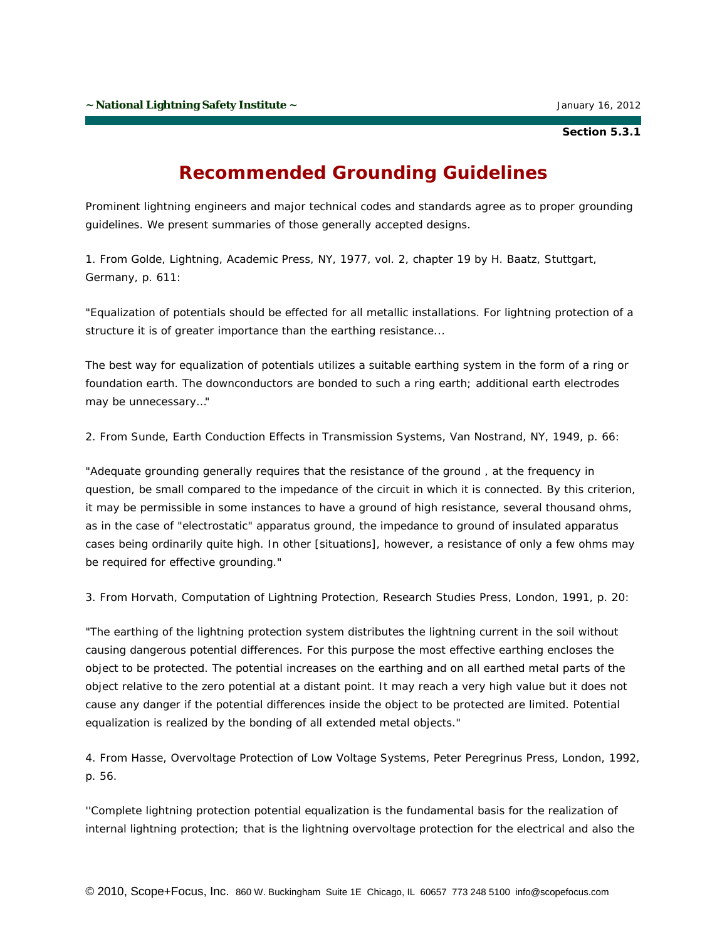**Section 5.3.1**

# **Recommended Grounding Guidelines**

Prominent lightning engineers and major technical codes and standards agree as to proper grounding guidelines. We present summaries of those generally accepted designs.

1. From *Golde, Lightning, Academic Press, NY, 1977, vol. 2, chapter 19 by H. Baatz, Stuttgart, Germany, p. 611:*

"Equalization of potentials should be effected for all metallic installations. For lightning protection of a structure it is of greater importance than the earthing resistance...

The best way for equalization of potentials utilizes a suitable earthing system in the form of a ring or foundation earth. The downconductors are bonded to such a ring earth; additional earth electrodes may be unnecessary…"

#### 2. From *Sunde, Earth Conduction Effects in Transmission Systems, Van Nostrand, NY, 1949, p. 66:*

"Adequate grounding generally requires that the resistance of the ground , at the frequency in question, be small compared to the impedance of the circuit in which it is connected. By this criterion, it may be permissible in some instances to have a ground of high resistance, several thousand ohms, as in the case of "electrostatic" apparatus ground, the impedance to ground of insulated apparatus cases being ordinarily quite high. In other [situations], however, a resistance of only a few ohms may be required for effective grounding."

3. From *Horvath, Computation of Lightning Protection, Research Studies Press, London, 1991, p. 20:*

"The earthing of the lightning protection system distributes the lightning current in the soil without causing dangerous potential differences. For this purpose the most effective earthing encloses the object to be protected. The potential increases on the earthing and on all earthed metal parts of the object relative to the zero potential at a distant point. It may reach a very high value but it does not cause any danger if the potential differences inside the object to be protected are limited. Potential equalization is realized by the bonding of all extended metal objects."

4. From *Hasse, Overvoltage Protection of Low Voltage Systems, Peter Peregrinus Press, London, 1992, p. 56.*

''Complete lightning protection potential equalization is the fundamental basis for the realization of internal lightning protection; that is the lightning overvoltage protection for the electrical and also the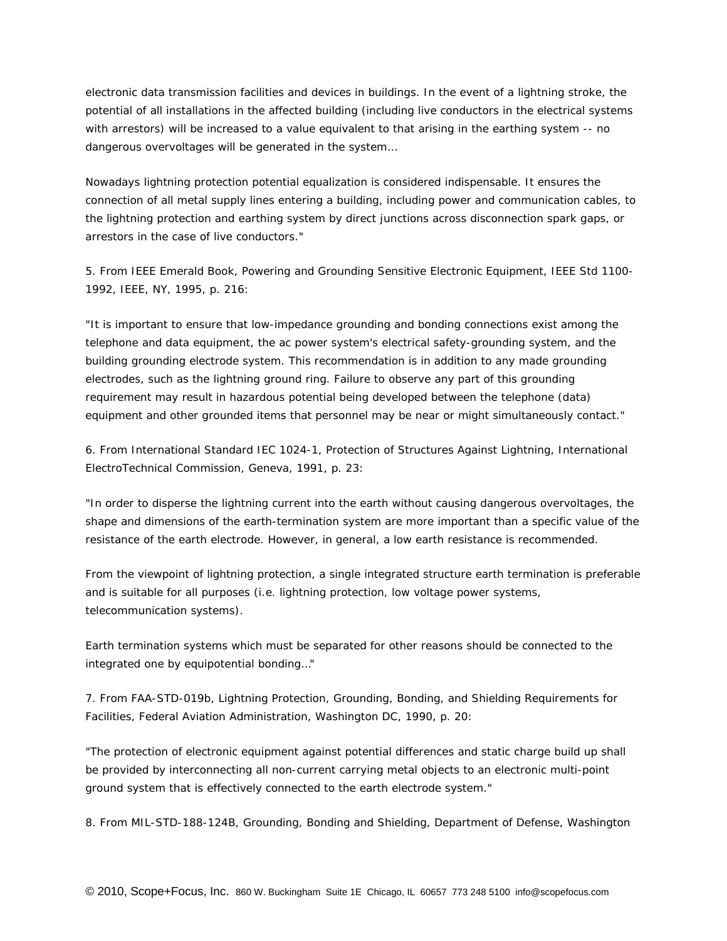electronic data transmission facilities and devices in buildings. In the event of a lightning stroke, the potential of all installations in the affected building (including live conductors in the electrical systems with arrestors) will be increased to a value equivalent to that arising in the earthing system -- no dangerous overvoltages will be generated in the system…

Nowadays lightning protection potential equalization is considered indispensable. It ensures the connection of all metal supply lines entering a building, including power and communication cables, to the lightning protection and earthing system by direct junctions across disconnection spark gaps, or arrestors in the case of live conductors."

5. From *IEEE Emerald Book, Powering and Grounding Sensitive Electronic Equipment, IEEE Std 1100- 1992, IEEE, NY, 1995, p. 216:*

"It is important to ensure that low-impedance grounding and bonding connections exist among the telephone and data equipment, the ac power system's electrical safety-grounding system, and the building grounding electrode system. This recommendation is in addition to any made grounding electrodes, such as the lightning ground ring. Failure to observe any part of this grounding requirement may result in hazardous potential being developed between the telephone (data) equipment and other grounded items that personnel may be near or might simultaneously contact."

6. From *International Standard IEC 1024-1, Protection of Structures Against Lightning, International ElectroTechnical Commission, Geneva, 1991, p. 23:*

"In order to disperse the lightning current into the earth without causing dangerous overvoltages, the shape and dimensions of the earth-termination system are more important than a specific value of the resistance of the earth electrode. However, in general, a low earth resistance is recommended.

From the viewpoint of lightning protection, a single integrated structure earth termination is preferable and is suitable for all purposes (i.e. lightning protection, low voltage power systems, telecommunication systems).

Earth termination systems which must be separated for other reasons should be connected to the integrated one by equipotential bonding…"

7. From *FAA-STD-019b, Lightning Protection, Grounding, Bonding, and Shielding Requirements for Facilities, Federal Aviation Administration, Washington DC, 1990, p. 20:*

"The protection of electronic equipment against potential differences and static charge build up shall be provided by interconnecting all non-current carrying metal objects to an electronic multi-point ground system that is effectively connected to the earth electrode system."

8. From *MIL-STD-188-124B, Grounding, Bonding and Shielding, Department of Defense, Washington*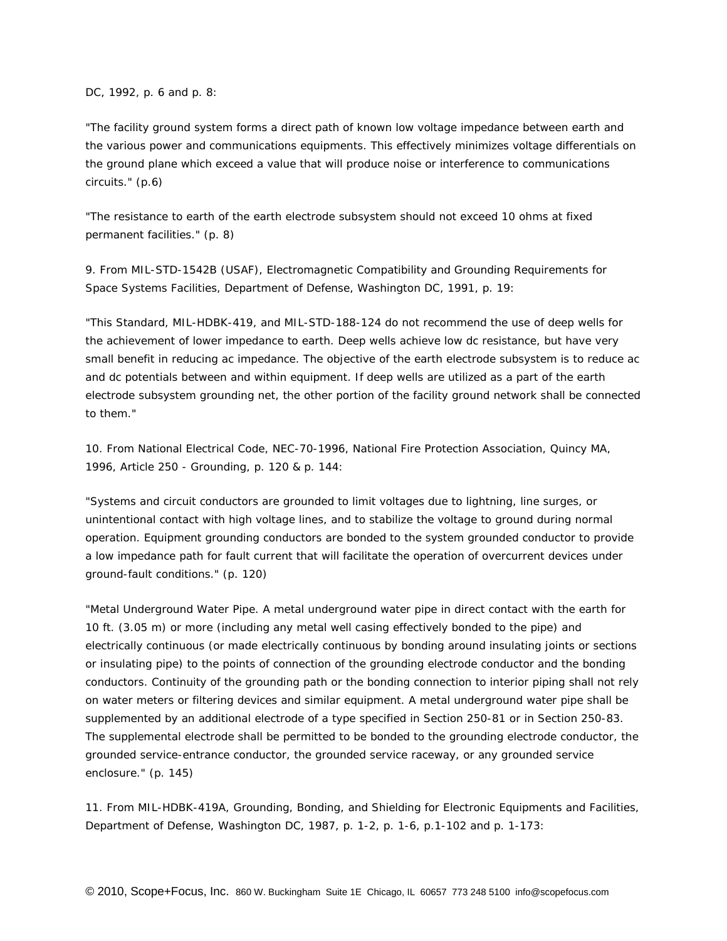*DC, 1992, p. 6 and p. 8:*

"The facility ground system forms a direct path of known low voltage impedance between earth and the various power and communications equipments. This effectively minimizes voltage differentials on the ground plane which exceed a value that will produce noise or interference to communications circuits." (p.6)

"The resistance to earth of the earth electrode subsystem should not exceed 10 ohms at fixed permanent facilities." (p. 8)

9. From *MIL-STD-1542B (USAF), Electromagnetic Compatibility and Grounding Requirements for Space Systems Facilities, Department of Defense, Washington DC, 1991, p. 19:*

"This Standard, MIL-HDBK-419, and MIL-STD-188-124 do not recommend the use of deep wells for the achievement of lower impedance to earth. Deep wells achieve low dc resistance, but have very small benefit in reducing ac impedance. The objective of the earth electrode subsystem is to reduce ac and dc potentials between and within equipment. If deep wells are utilized as a part of the earth electrode subsystem grounding net, the other portion of the facility ground network shall be connected to them."

10. From *National Electrical Code, NEC-70-1996, National Fire Protection Association, Quincy MA, 1996, Article 250 - Grounding, p. 120 & p. 144:*

"Systems and circuit conductors are grounded to limit voltages due to lightning, line surges, or unintentional contact with high voltage lines, and to stabilize the voltage to ground during normal operation. Equipment grounding conductors are bonded to the system grounded conductor to provide a low impedance path for fault current that will facilitate the operation of overcurrent devices under ground-fault conditions." (p. 120)

"Metal Underground Water Pipe. A metal underground water pipe in direct contact with the earth for 10 ft. (3.05 m) or more (including any metal well casing effectively bonded to the pipe) and electrically continuous (or made electrically continuous by bonding around insulating joints or sections or insulating pipe) to the points of connection of the grounding electrode conductor and the bonding conductors. Continuity of the grounding path or the bonding connection to interior piping shall not rely on water meters or filtering devices and similar equipment. A metal underground water pipe shall be supplemented by an additional electrode of a type specified in Section 250-81 or in Section 250-83. The supplemental electrode shall be permitted to be bonded to the grounding electrode conductor, the grounded service-entrance conductor, the grounded service raceway, or any grounded service enclosure." (p. 145)

11. From *MIL-HDBK-419A, Grounding, Bonding, and Shielding for Electronic Equipments and Facilities, Department of Defense, Washington DC, 1987, p. 1-2, p. 1-6, p.1-102 and p. 1-173:*